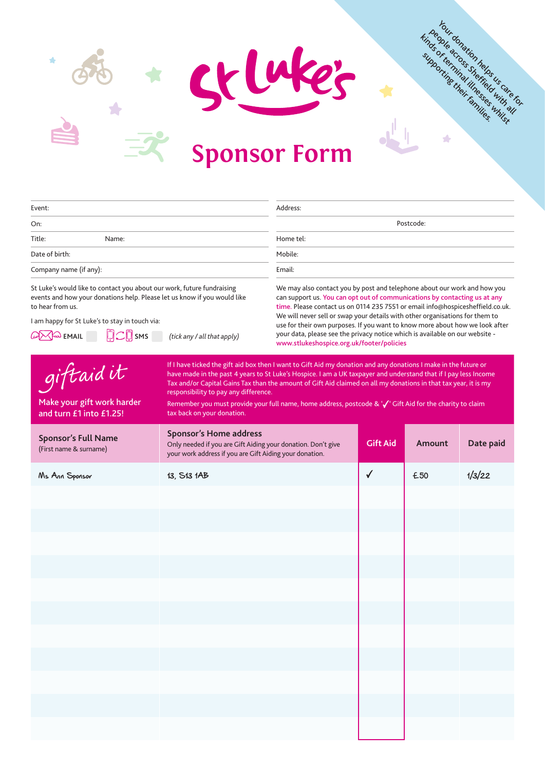



events and how your donations help. Please let us know if you would like to hear from us.

I am happy for St Luke's to stay in touch via:

**EMAIL SMS** *(tick any / all that apply)*

can support us. You can opt out of communications by contacting us at any time. Please contact us on 0114 235 7551 or email info@hospicesheffield.co.uk. We will never sell or swap your details with other organisations for them to use for their own purposes. If you want to know more about how we look after your data, please see the privacy notice which is available on our website -

www.stlukeshospice.org.uk/footer/policies

Your donation helps us care for Finds of terminal integration of the seasoning their families.

A

giftaidit If I have ticked the gift aid box then I want to Gift Aid my donation and any donations I make in the future or have made in the past 4 years to St Luke's Hospice. I am a UK taxpayer and understand that if I pay less Income Tax and/or Capital Gains Tax than the amount of Gift Aid claimed on all my donations in that tax year, it is my responsibility to pay any difference. Make your gift work harder Remember you must provide your full name, home address, postcode & ' $\sqrt{\ }$ ' Gift Aid for the charity to claim and turn £1 into £1.25!tax back on your donation. **Sponsor's Home address Sponsor's Full Name Gift Aid Amount** Date paid Only needed if you are Gift Aiding your donation. Don't give **Amount** (First name & surname) your work address if you are Gift Aiding your donation.  $\mathsf{M}s$  Ann Sponsor 13, S13 1AB  $\mathsf{M} \setminus \mathsf{M}$   $\mathsf{F}$   $\mathsf{F}$   $\mathsf{F}$   $\mathsf{F}$   $\mathsf{F}$   $\mathsf{F}$   $\mathsf{F}$   $\mathsf{F}$   $\mathsf{F}$   $\mathsf{F}$   $\mathsf{F}$   $\mathsf{F}$   $\mathsf{F}$   $\mathsf{F}$   $\mathsf{F}$   $\mathsf{F}$   $\mathsf{F}$   $\mathsf{F}$   $\mathsf{F}$